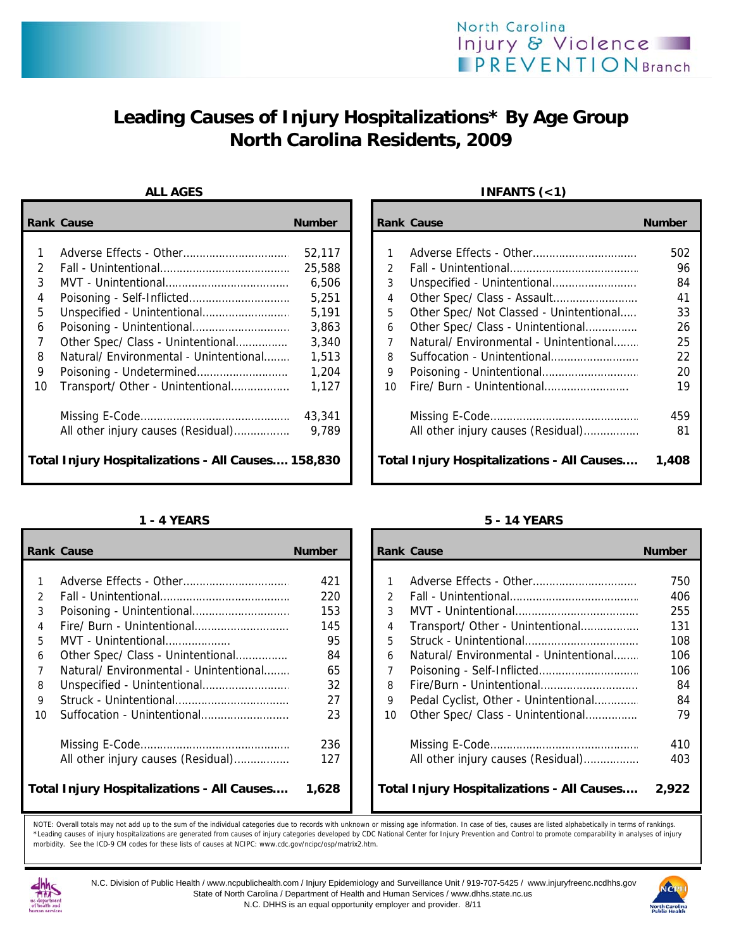# **Leading Causes of Injury Hospitalizations\* By Age Group North Carolina Residents, 2009**

|                                                    | <b>Rank Cause</b>                      | <b>Number</b> |    | <b>Rank Cause</b>                                 | <b>Number</b> |
|----------------------------------------------------|----------------------------------------|---------------|----|---------------------------------------------------|---------------|
|                                                    |                                        |               |    |                                                   |               |
|                                                    |                                        | 52,117        |    |                                                   | 502           |
| $\mathcal{P}$                                      |                                        | 25,588        |    |                                                   | 96            |
| 3                                                  |                                        | 6,506         | 3  |                                                   | 84            |
| 4                                                  |                                        | 5,251         | 4  |                                                   | 41            |
| 5                                                  |                                        | 5,191         | 5  | Other Spec/ Not Classed - Unintentional           | 33            |
| 6                                                  |                                        | 3,863         | 6  | Other Spec/ Class - Unintentional                 | 26            |
|                                                    | Other Spec/ Class - Unintentional      | 3,340         |    | Natural/ Environmental - Unintentional            | 25            |
| 8                                                  | Natural/ Environmental - Unintentional | 1,513         | 8  | Suffocation - Unintentional                       | 22            |
| 9                                                  |                                        | 1,204         | 9  |                                                   | 20            |
| 10                                                 | Transport/ Other - Unintentional       | 1,127         | 10 | Fire/ Burn - Unintentional                        | 19            |
|                                                    |                                        | 43,341        |    |                                                   | 459           |
|                                                    | All other injury causes (Residual)     | 9.789         |    | All other injury causes (Residual)                | 81            |
| Total Injury Hospitalizations - All Causes 158,830 |                                        |               |    | <b>Total Injury Hospitalizations - All Causes</b> | 1,408         |

|               | <b>Rank Cause</b>                                 | <b>Number</b> |               | <b>Rank Cause</b>                                 | <b>Number</b> |
|---------------|---------------------------------------------------|---------------|---------------|---------------------------------------------------|---------------|
|               |                                                   |               |               |                                                   |               |
|               |                                                   | 421           |               |                                                   | 750           |
| $\mathcal{P}$ |                                                   | 220           | $\mathcal{P}$ |                                                   | 406           |
| 3             |                                                   | 153           | 3             |                                                   | 255           |
| 4             | Fire/ Burn - Unintentional                        | 145           | 4             | Transport/ Other - Unintentional                  | 131           |
| 5.            | MVT - Unintentional                               | 95            | 5             |                                                   | 108           |
| 6             | Other Spec/ Class - Unintentional                 | 84            | 6             | Natural/ Environmental - Unintentional            | 106           |
|               | Natural/ Environmental - Unintentional            | 65            |               |                                                   | 106           |
| 8             |                                                   | 32            | 8             |                                                   | 84            |
| 9             |                                                   | 27            | 9             | Pedal Cyclist, Other - Unintentional              | 84            |
| 10            |                                                   | 23            | 10            | Other Spec/ Class - Unintentional                 | 79            |
|               |                                                   | 236           |               |                                                   | 410           |
|               | All other injury causes (Residual)                | 127           |               | All other injury causes (Residual)                | 403           |
|               | <b>Total Injury Hospitalizations - All Causes</b> | 1,628         |               | <b>Total Injury Hospitalizations - All Causes</b> | 2,922         |

### ALL AGES **INFANTS** (<1)

| Cause                                        | <b>Number</b> |  |               | <b>Rank Cause</b>                                 | <b>Number</b> |
|----------------------------------------------|---------------|--|---------------|---------------------------------------------------|---------------|
|                                              |               |  |               |                                                   |               |
| Adverse Effects - Other                      | 52.117        |  |               |                                                   | 502           |
|                                              | 25,588        |  | $\mathcal{P}$ |                                                   | 96            |
|                                              | 6,506         |  | 3             |                                                   | 84            |
|                                              | 5,251         |  | 4             |                                                   | 41            |
| Unspecified - Unintentional                  | 5,191         |  | 5             | Other Spec/ Not Classed - Unintentional           | 33            |
| Poisoning - Unintentional                    | 3,863         |  | 6             | Other Spec/ Class - Unintentional                 | 26            |
| Other Spec/ Class - Unintentional            | 3,340         |  | 7             | Natural/ Environmental - Unintentional            | 25            |
| Natural/ Environmental - Unintentional       | 1.513         |  | 8             |                                                   | 22            |
| Poisoning - Undetermined                     | 1,204         |  | 9             |                                                   | 20            |
| Transport/ Other - Unintentional             | 1.127         |  | 10            |                                                   | 19            |
|                                              | 43,341        |  |               |                                                   | 459           |
| All other injury causes (Residual)           | 9.789         |  |               | All other injury causes (Residual)                | 81            |
| Injury Hospitalizations - All Causes 158,830 |               |  |               | <b>Total Injury Hospitalizations - All Causes</b> | 1,408         |

### **1 - 4 YEARS 5 - 14 YEARS**

|                | ank Cause                                 | <b>Number</b> |               | <b>Rank Cause</b>                                 | <b>Number</b> |
|----------------|-------------------------------------------|---------------|---------------|---------------------------------------------------|---------------|
|                |                                           |               |               |                                                   |               |
| $\mathbf{1}$   |                                           | 421           |               |                                                   | 750           |
| $\overline{2}$ |                                           | 220           | $\mathcal{P}$ |                                                   | 406           |
| 3              |                                           | 153           | 3             |                                                   | 255           |
| 4              |                                           | 145           | 4             | Transport/ Other - Unintentional                  | 131           |
| 5              | MVT - Unintentional                       | 95            | 5             |                                                   | 108           |
| 6              | Other Spec/ Class - Unintentional         | 84            | 6             | Natural/ Environmental - Unintentional            | 106           |
| 7              | Natural/ Environmental - Unintentional    | 65            |               |                                                   | 106           |
| 8              |                                           | 32            | 8             |                                                   | 84            |
| 9              |                                           | 27            | 9             | Pedal Cyclist, Other - Unintentional              | 84            |
| ۱O.            | Suffocation - Unintentional               | 23            | 10            | Other Spec/ Class - Unintentional                 | 79            |
|                |                                           | 236           |               |                                                   | 410           |
|                | All other injury causes (Residual)        | 127           |               | All other injury causes (Residual)                | 403           |
|                |                                           |               |               |                                                   |               |
|                | otal Injury Hospitalizations - All Causes | 1.628         |               | <b>Total Injury Hospitalizations - All Causes</b> | 2.922         |

NOTE: Overall totals may not add up to the sum of the individual categories due to records with unknown or missing age information. In case of ties, causes are listed alphabetically in terms of rankings. \*Leading causes of injury hospitalizations are generated from causes of injury categories developed by CDC National Center for Injury Prevention and Control to promote comparability in analyses of injury morbidity. See the ICD-9 CM codes for these lists of causes at NCIPC: www.cdc.gov/ncipc/osp/matrix2.htm.



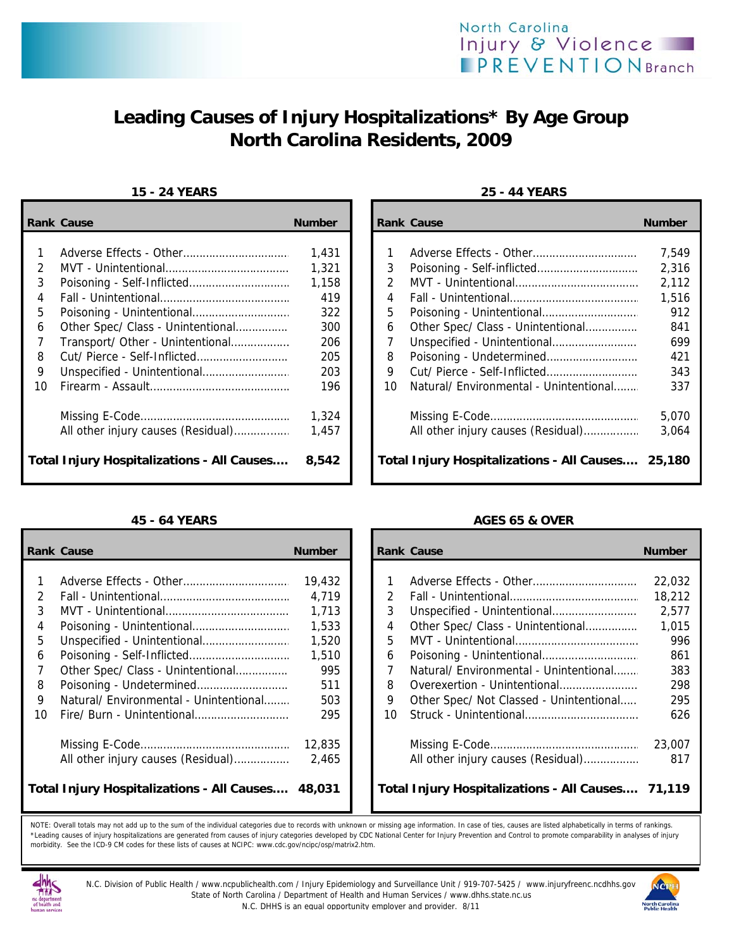

# **Leading Causes of Injury Hospitalizations\* By Age Group North Carolina Residents, 2009**

### **15 - 24 YEARS 25 - 44 YEARS**

|    | <b>Rank Cause</b>                                 | <b>Number</b> |               | <b>Rank Cause</b>                                 | <b>Number</b> |
|----|---------------------------------------------------|---------------|---------------|---------------------------------------------------|---------------|
|    |                                                   | 1,431         |               |                                                   | 7.549         |
| 2  |                                                   | 1,321         | 3             |                                                   | 2,316         |
| 3  |                                                   | 1,158         | $\mathcal{P}$ |                                                   | 2,112         |
| 4  |                                                   | 419           | 4             |                                                   | 1,516         |
| 5  |                                                   | 322           | 5             |                                                   | 912           |
| 6  | Other Spec/ Class - Unintentional                 | 300           | 6             | Other Spec/ Class - Unintentional                 | 841           |
|    | Transport/ Other - Unintentional                  | 206           |               |                                                   | 699           |
| 8  |                                                   | 205           | 8             |                                                   | 421           |
| 9  |                                                   | 203           | 9             |                                                   | 343           |
| 10 |                                                   | 196           | 10            | Natural/ Environmental - Unintentional            | 337           |
|    |                                                   | 1,324         |               |                                                   | 5,070         |
|    | All other injury causes (Residual)                | 1,457         |               | All other injury causes (Residual)                | 3.064         |
|    | <b>Total Injury Hospitalizations - All Causes</b> | 8,542         |               | Total Injury Hospitalizations - All Causes 25,180 |               |

|               | <b>Rank Cause</b>                                 | <b>Number</b> |    | <b>Rank Cause</b>                                 | <b>Number</b> |
|---------------|---------------------------------------------------|---------------|----|---------------------------------------------------|---------------|
|               |                                                   |               |    |                                                   |               |
|               |                                                   | 19,432        |    |                                                   | 22,032        |
| $\mathcal{P}$ |                                                   | 4,719         | 2  |                                                   | 18,212        |
| 3             |                                                   | 1,713         | 3  |                                                   | 2,577         |
| 4             |                                                   | 1,533         | 4  | Other Spec/ Class - Unintentional                 | 1,015         |
| 5.            |                                                   | 1,520         | 5  |                                                   | 996           |
| 6             |                                                   | 1,510         | 6  |                                                   | 861           |
|               | Other Spec/ Class - Unintentional                 | 995           |    | Natural/ Environmental - Unintentional            | 383           |
| 8             |                                                   | 511           | 8  | Overexertion - Unintentional                      | 298           |
| 9             | Natural/ Environmental - Unintentional            | 503           | 9  | Other Spec/ Not Classed - Unintentional           | 295           |
| 10            |                                                   | 295           | 10 |                                                   | 626           |
|               |                                                   | 12,835        |    |                                                   | 23,007        |
|               | All other injury causes (Residual)                | 2,465         |    | All other injury causes (Residual)                | 817           |
|               | <b>Total Injury Hospitalizations - All Causes</b> | 48,031        |    | Total Injury Hospitalizations - All Causes 71,119 |               |

| Cause                                       | <b>Number</b> |    | <b>Rank Cause</b>                                 | <b>Number</b> |
|---------------------------------------------|---------------|----|---------------------------------------------------|---------------|
|                                             |               |    |                                                   |               |
|                                             | 1,431         |    |                                                   | 7,549         |
|                                             | 1,321         | 3  |                                                   | 2,316         |
| Poisoning - Self-Inflicted                  | 1,158         | 2  |                                                   | 2,112         |
|                                             | 419           | 4  |                                                   | 1,516         |
|                                             | 322           | 5  |                                                   | 912           |
| Other Spec/ Class - Unintentional           | 300           | 6  | Other Spec/ Class - Unintentional                 | 841           |
| Transport/ Other - Unintentional            | 206           | 7  |                                                   | 699           |
| Cut/ Pierce - Self-Inflicted                | 205           | 8  |                                                   | 421           |
|                                             | 203           | 9  |                                                   | 343           |
|                                             | 196           | 10 | Natural/ Environmental - Unintentional            | 337           |
|                                             | 1,324         |    |                                                   | 5,070         |
| All other injury causes (Residual)          | 1,457         |    | All other injury causes (Residual)                | 3,064         |
| <b>Injury Hospitalizations - All Causes</b> | 8,542         |    | Total Injury Hospitalizations - All Causes 25,180 |               |

### **45 - 64 YEARS AGES 65 & OVER**

| Cause                                       | <b>Number</b> |               | <b>Rank Cause</b>                                 | <b>Number</b> |
|---------------------------------------------|---------------|---------------|---------------------------------------------------|---------------|
|                                             |               |               |                                                   |               |
|                                             | 19,432        |               |                                                   | 22,032        |
|                                             | 4.719         | $\mathcal{P}$ |                                                   | 18,212        |
|                                             | 1.713         | 3             |                                                   | 2,577         |
|                                             | 1,533         | 4             | Other Spec/ Class - Unintentional                 | 1,015         |
| Unspecified - Unintentional                 | 1,520         | 5             |                                                   | 996           |
|                                             | 1,510         | 6             |                                                   | 861           |
| Other Spec/ Class - Unintentional           | 995           | 7             | Natural/ Environmental - Unintentional            | 383           |
| Poisoning - Undetermined                    | 511           | 8             | Overexertion - Unintentional                      | 298           |
| Natural/ Environmental - Unintentional      | 503           | 9             | Other Spec/ Not Classed - Unintentional           | 295           |
| Fire/ Burn - Unintentional                  | 295           | 10            |                                                   | 626           |
|                                             | 12,835        |               |                                                   | 23,007        |
| All other injury causes (Residual)          | 2.465         |               | All other injury causes (Residual)                | 817           |
| Injury Hospitalizations - All Causes 48,031 |               |               | Total Injury Hospitalizations - All Causes 71,119 |               |

NOTE: Overall totals may not add up to the sum of the individual categories due to records with unknown or missing age information. In case of ties, causes are listed alphabetically in terms of rankings. \*Leading causes of injury hospitalizations are generated from causes of injury categories developed by CDC National Center for Injury Prevention and Control to promote comparability in analyses of injury morbidity. See the ICD-9 CM codes for these lists of causes at NCIPC: www.cdc.gov/ncipc/osp/matrix2.htm.